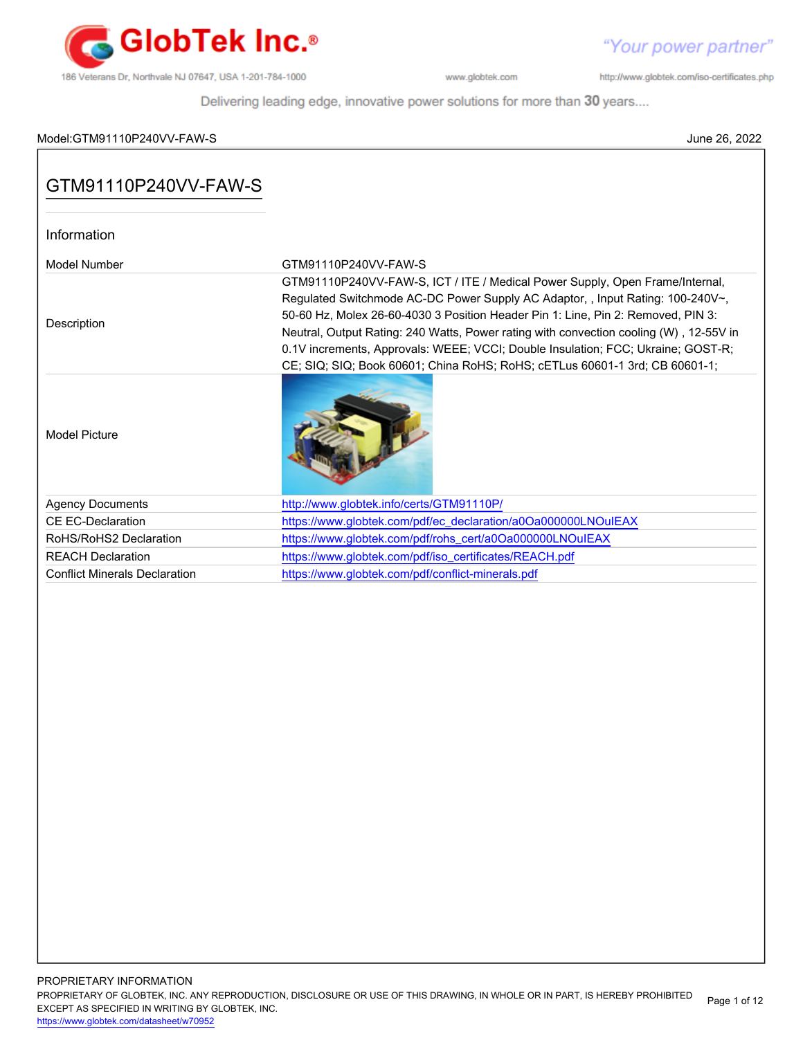

"Your power partner"

http://www.globtek.com/iso-certificates.php

Delivering leading edge, innovative power solutions for more than 30 years....

# Model:GTM91110P240VV-FAW-S June 26, 2022

Ī

| GTM91110P240VV-FAW-S                 |                                                                                                                                                                                                                                                                                                                                                                                                                                                                                                                 |  |  |
|--------------------------------------|-----------------------------------------------------------------------------------------------------------------------------------------------------------------------------------------------------------------------------------------------------------------------------------------------------------------------------------------------------------------------------------------------------------------------------------------------------------------------------------------------------------------|--|--|
| Information                          |                                                                                                                                                                                                                                                                                                                                                                                                                                                                                                                 |  |  |
| Model Number                         | GTM91110P240VV-FAW-S                                                                                                                                                                                                                                                                                                                                                                                                                                                                                            |  |  |
| Description                          | GTM91110P240VV-FAW-S, ICT / ITE / Medical Power Supply, Open Frame/Internal,<br>Regulated Switchmode AC-DC Power Supply AC Adaptor, , Input Rating: 100-240V~,<br>50-60 Hz, Molex 26-60-4030 3 Position Header Pin 1: Line, Pin 2: Removed, PIN 3:<br>Neutral, Output Rating: 240 Watts, Power rating with convection cooling (W), 12-55V in<br>0.1V increments, Approvals: WEEE; VCCI; Double Insulation; FCC; Ukraine; GOST-R;<br>CE; SIQ; SIQ; Book 60601; China RoHS; RoHS; cETLus 60601-1 3rd; CB 60601-1; |  |  |
| <b>Model Picture</b>                 |                                                                                                                                                                                                                                                                                                                                                                                                                                                                                                                 |  |  |
| <b>Agency Documents</b>              | http://www.globtek.info/certs/GTM91110P/                                                                                                                                                                                                                                                                                                                                                                                                                                                                        |  |  |
| <b>CE EC-Declaration</b>             | https://www.globtek.com/pdf/ec_declaration/a0Oa000000LNOuIEAX                                                                                                                                                                                                                                                                                                                                                                                                                                                   |  |  |
| RoHS/RoHS2 Declaration               | https://www.globtek.com/pdf/rohs_cert/a0Oa000000LNOuIEAX                                                                                                                                                                                                                                                                                                                                                                                                                                                        |  |  |
| <b>REACH Declaration</b>             | https://www.globtek.com/pdf/iso_certificates/REACH.pdf                                                                                                                                                                                                                                                                                                                                                                                                                                                          |  |  |
| <b>Conflict Minerals Declaration</b> | https://www.globtek.com/pdf/conflict-minerals.pdf                                                                                                                                                                                                                                                                                                                                                                                                                                                               |  |  |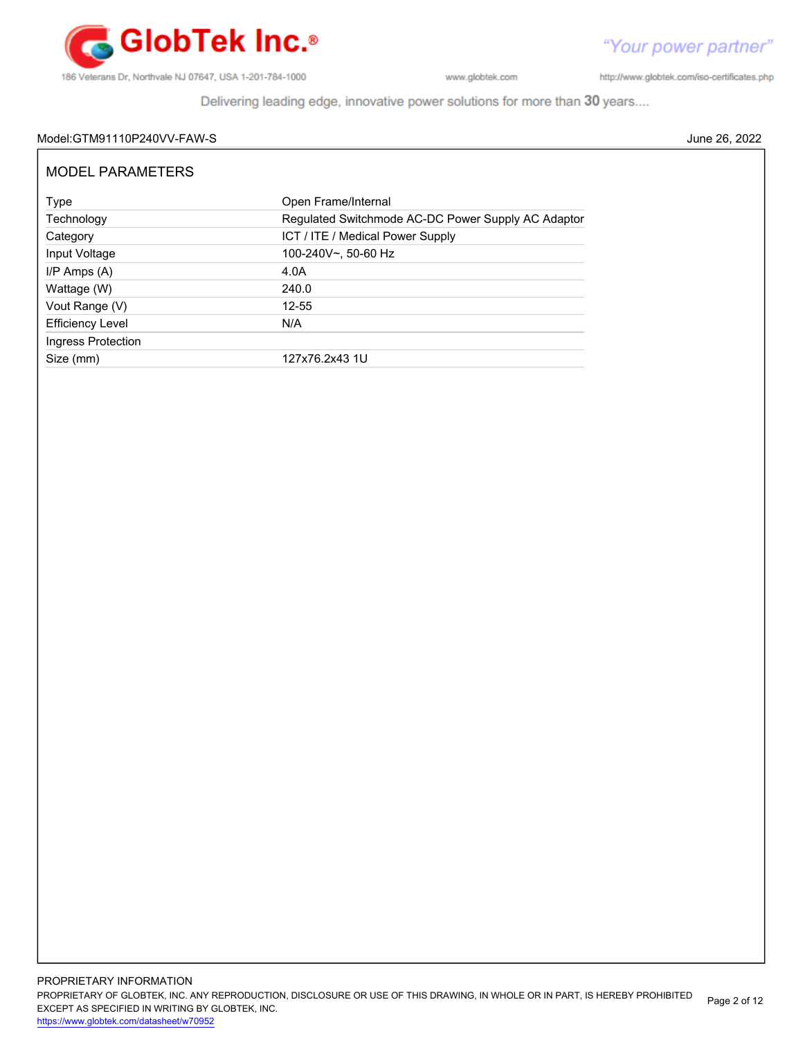

http://www.globtek.com/iso-certificates.php

Delivering leading edge, innovative power solutions for more than 30 years....

# Model:GTM91110P240VV-FAW-S June 26, 2022

| <b>MODEL PARAMETERS</b> |                                                    |
|-------------------------|----------------------------------------------------|
| Type                    | Open Frame/Internal                                |
| Technology              | Regulated Switchmode AC-DC Power Supply AC Adaptor |
| Category                | <b>ICT / ITE / Medical Power Supply</b>            |
| Input Voltage           | 100-240V~, 50-60 Hz                                |
| $I/P$ Amps $(A)$        | 4.0A                                               |
| Wattage (W)             | 240.0                                              |
| Vout Range (V)          | 12-55                                              |
| <b>Efficiency Level</b> | N/A                                                |
| Ingress Protection      |                                                    |
| Size (mm)               | 127x76.2x43 1U                                     |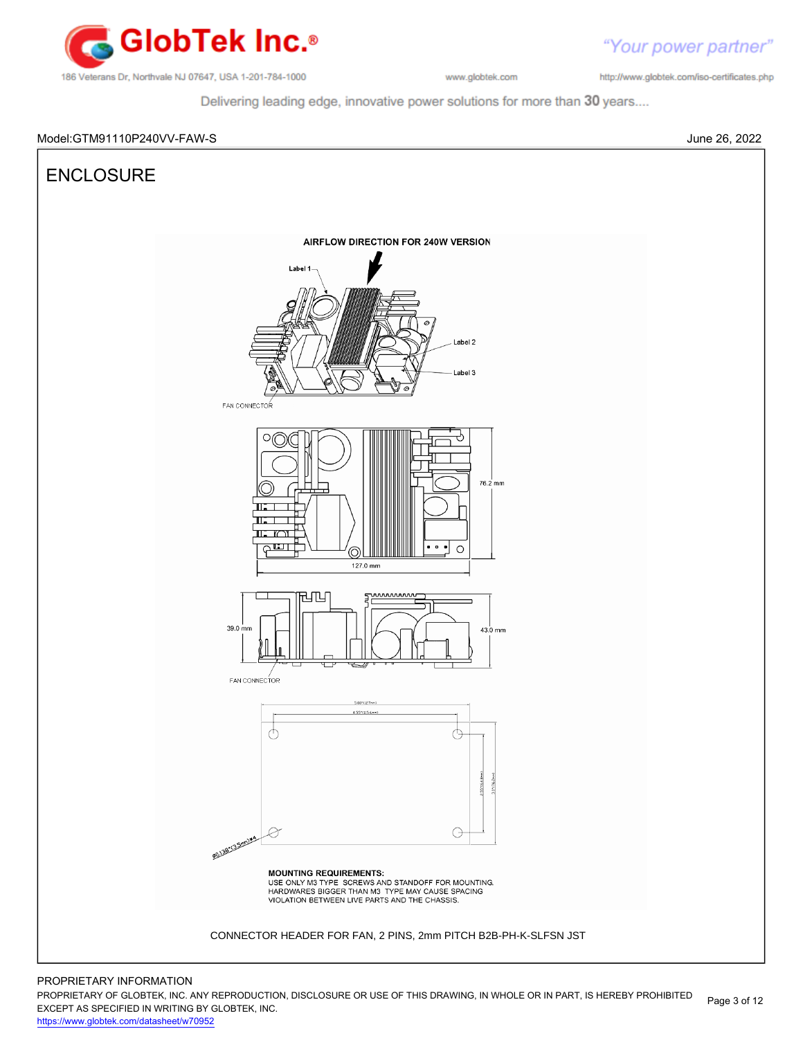

http://www.globtek.com/iso-certificates.php

"Your power partner"

Delivering leading edge, innovative power solutions for more than 30 years....

#### Model:GTM91110P240VV-FAW-S June 26, 2022



PROPRIETARY OF GLOBTEK, INC. ANY REPRODUCTION, DISCLOSURE OR USE OF THIS DRAWING, IN WHOLE OR IN PART, IS HEREBY PROHIBITED EXCEPT AS SPECIFIED IN WRITING BY GLOBTEK, INC. Page 3 of 12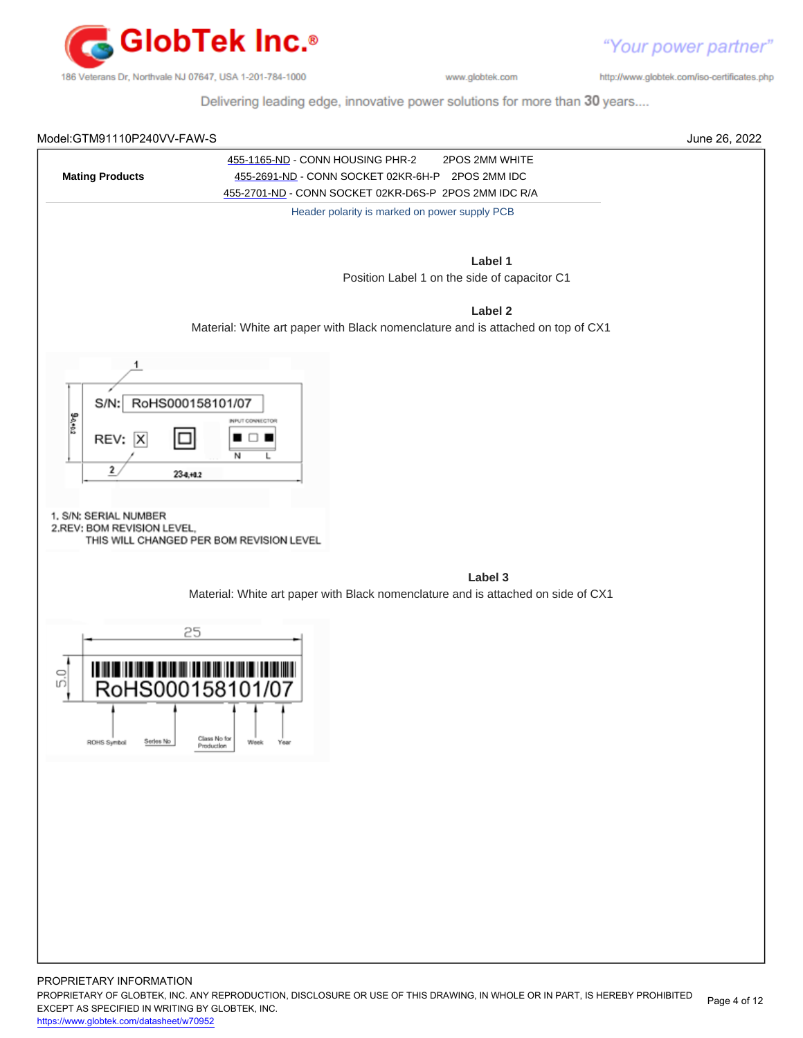

"Your power partner"

http://www.globtek.com/iso-certificates.php

Delivering leading edge, innovative power solutions for more than 30 years....



PROPRIETARY INFORMATION

PROPRIETARY OF GLOBTEK, INC. ANY REPRODUCTION, DISCLOSURE OR USE OF THIS DRAWING, IN WHOLE OR IN PART, IS HEREBY PROHIBITED EXCEPT AS SPECIFIED IN WRITING BY GLOBTEK, INC. Page 4 of 12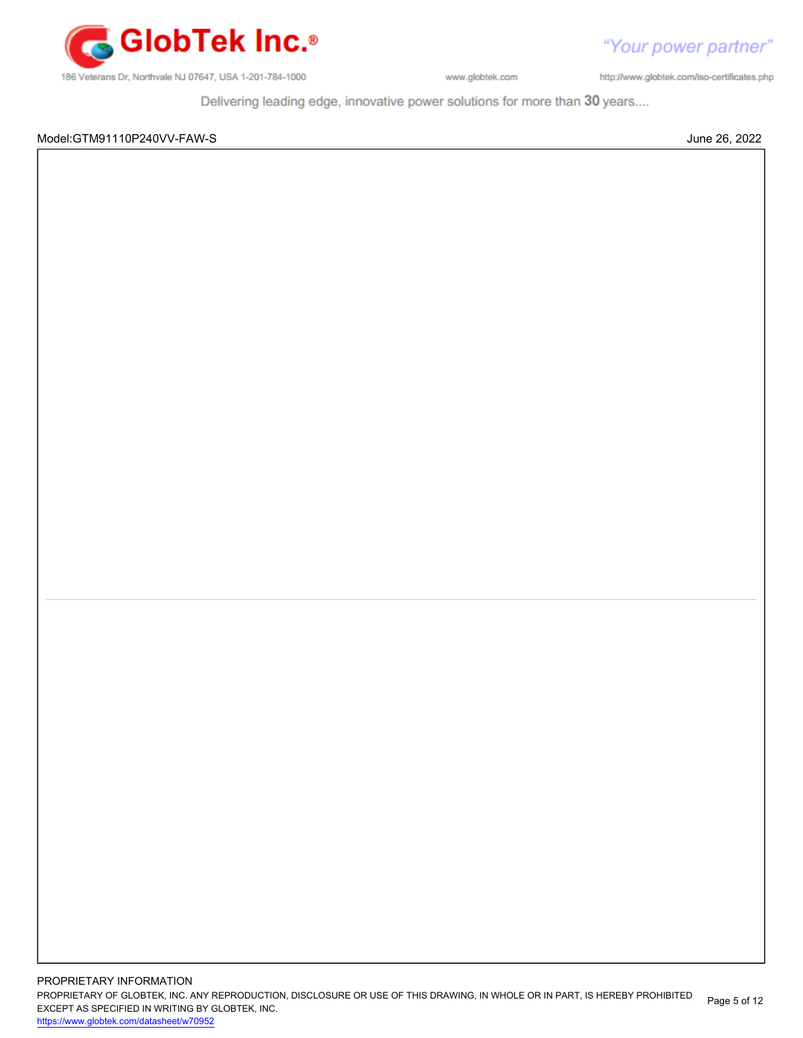

http://www.globtek.com/iso-certificates.php

"Your power partner"

Delivering leading edge, innovative power solutions for more than 30 years....

PROPRIETARY INFORMATION PROPRIETARY OF GLOBTEK, INC. ANY REPRODUCTION, DISCLOSURE OR USE OF THIS DRAWING, IN WHOLE OR IN PART, IS HEREBY PROHIBITED EXCEPT AS SPECIFIED IN WRITING BY GLOBTEK, INC. Page 5 of 12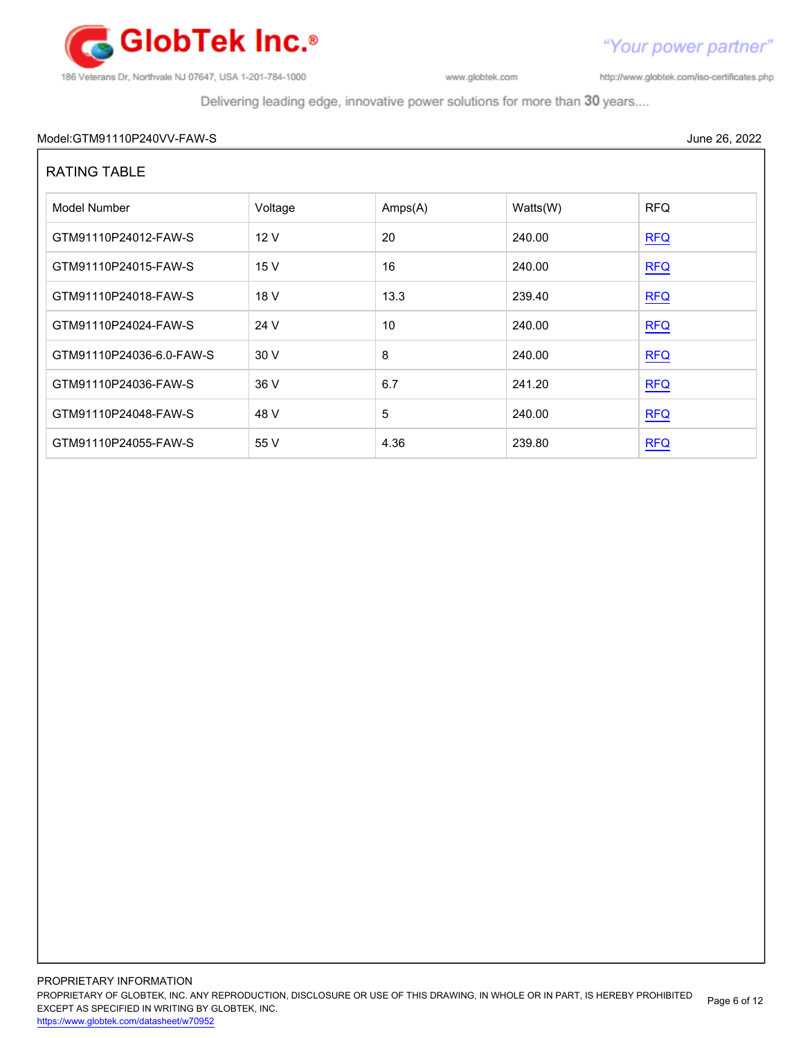

http://www.globtek.com/iso-certificates.php

Delivering leading edge, innovative power solutions for more than 30 years....

# Model:GTM91110P240VV-FAW-S June 26, 2022

# RATING TABLE

| Model Number             | Voltage | Amps(A) | Watts(W) | <b>RFQ</b> |
|--------------------------|---------|---------|----------|------------|
| GTM91110P24012-FAW-S     | 12V     | 20      | 240.00   | REQ        |
| GTM91110P24015-FAW-S     | 15V     | 16      | 240.00   | REQ        |
| GTM91110P24018-FAW-S     | 18 V    | 13.3    | 239.40   | REQ        |
| GTM91110P24024-FAW-S     | 24 V    | 10      | 240.00   | REQ        |
| GTM91110P24036-6.0-FAW-S | 30 V    | 8       | 240.00   | <b>RFQ</b> |
| GTM91110P24036-FAW-S     | 36 V    | 6.7     | 241.20   | REQ        |
| GTM91110P24048-FAW-S     | 48 V    | 5       | 240.00   | <b>RFQ</b> |
| GTM91110P24055-FAW-S     | 55 V    | 4.36    | 239.80   | REQ        |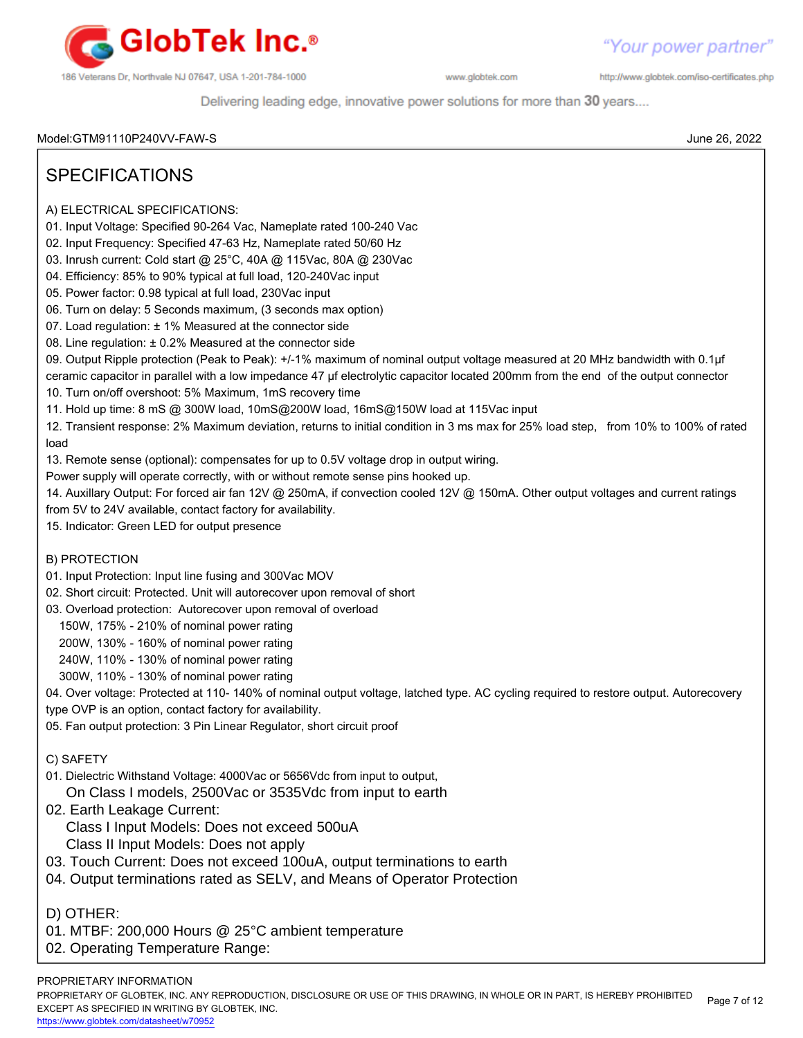

http://www.globtek.com/iso-certificates.php

Delivering leading edge, innovative power solutions for more than 30 years....

Model:GTM91110P240VV-FAW-S June 26, 2022

# SPECIFICATIONS

- A) ELECTRICAL SPECIFICATIONS:
- 01. Input Voltage: Specified 90-264 Vac, Nameplate rated 100-240 Vac
- 02. Input Frequency: Specified 47-63 Hz, Nameplate rated 50/60 Hz
- 03. Inrush current: Cold start @ 25°C, 40A @ 115Vac, 80A @ 230Vac
- 04. Efficiency: 85% to 90% typical at full load, 120-240Vac input
- 05. Power factor: 0.98 typical at full load, 230Vac input
- 06. Turn on delay: 5 Seconds maximum, (3 seconds max option)
- 07. Load regulation: ± 1% Measured at the connector side
- 08. Line regulation: ± 0.2% Measured at the connector side

09. Output Ripple protection (Peak to Peak): +/-1% maximum of nominal output voltage measured at 20 MHz bandwidth with 0.1µf ceramic capacitor in parallel with a low impedance 47 µf electrolytic capacitor located 200mm from the end of the output connector

- 10. Turn on/off overshoot: 5% Maximum, 1mS recovery time
- 11. Hold up time: 8 mS @ 300W load, 10mS@200W load, 16mS@150W load at 115Vac input

12. Transient response: 2% Maximum deviation, returns to initial condition in 3 ms max for 25% load step, from 10% to 100% of rated load

13. Remote sense (optional): compensates for up to 0.5V voltage drop in output wiring.

Power supply will operate correctly, with or without remote sense pins hooked up.

14. Auxillary Output: For forced air fan 12V @ 250mA, if convection cooled 12V @ 150mA. Other output voltages and current ratings from 5V to 24V available, contact factory for availability.

15. Indicator: Green LED for output presence

# B) PROTECTION

- 01. Input Protection: Input line fusing and 300Vac MOV
- 02. Short circuit: Protected. Unit will autorecover upon removal of short
- 03. Overload protection: Autorecover upon removal of overload
	- 150W, 175% 210% of nominal power rating
	- 200W, 130% 160% of nominal power rating
	- 240W, 110% 130% of nominal power rating
	- 300W, 110% 130% of nominal power rating

04. Over voltage: Protected at 110- 140% of nominal output voltage, latched type. AC cycling required to restore output. Autorecovery

- type OVP is an option, contact factory for availability.
- 05. Fan output protection: 3 Pin Linear Regulator, short circuit proof
- C) SAFETY
- 01. Dielectric Withstand Voltage: 4000Vac or 5656Vdc from input to output, On Class I models, 2500Vac or 3535Vdc from input to earth
- 02. Earth Leakage Current:
	- Class I Input Models: Does not exceed 500uA
	- Class II Input Models: Does not apply
- 03. Touch Current: Does not exceed 100uA, output terminations to earth
- 04. Output terminations rated as SELV, and Means of Operator Protection

D) OTHER:

- 01. MTBF: 200,000 Hours @ 25°C ambient temperature
- 02. Operating Temperature Range:

PROPRIETARY INFORMATION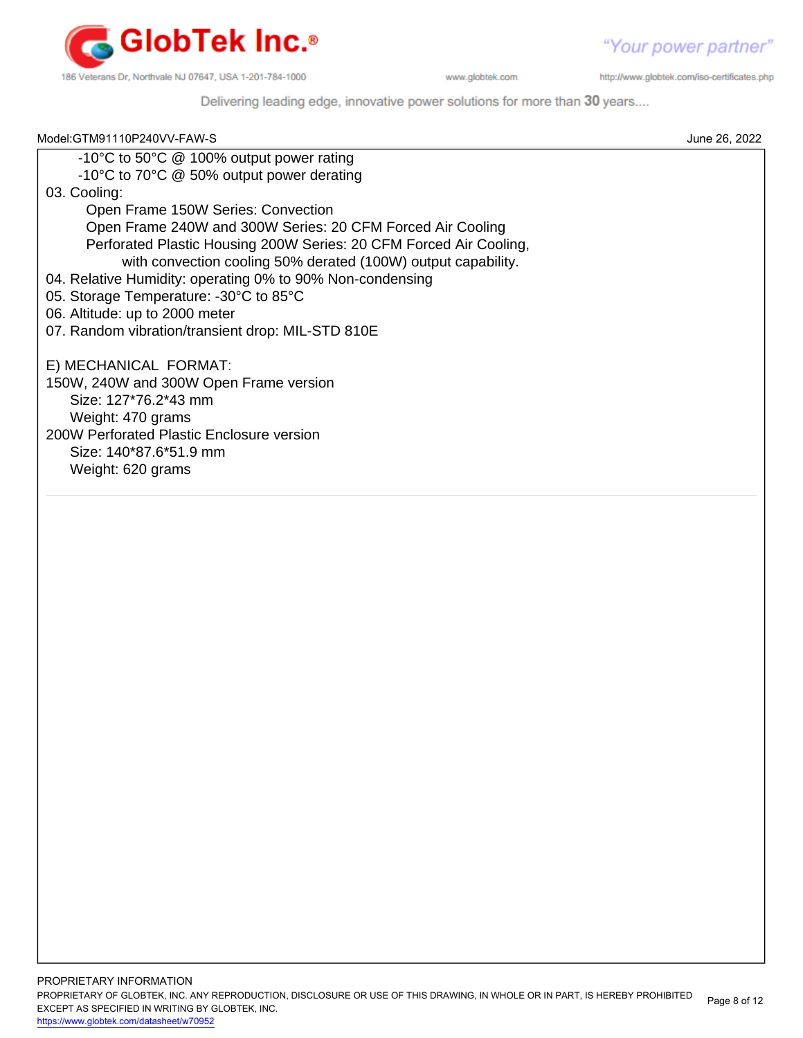

http://www.globtek.com/iso-certificates.php

Delivering leading edge, innovative power solutions for more than 30 years....

| Model:GTM91110P240VV-FAW-S                                         | June 26, 2022 |
|--------------------------------------------------------------------|---------------|
| -10°C to 50°C @ 100% output power rating                           |               |
| -10°C to 70°C @ 50% output power derating                          |               |
| 03. Cooling:                                                       |               |
| Open Frame 150W Series: Convection                                 |               |
| Open Frame 240W and 300W Series: 20 CFM Forced Air Cooling         |               |
| Perforated Plastic Housing 200W Series: 20 CFM Forced Air Cooling, |               |
| with convection cooling 50% derated (100W) output capability.      |               |
| 04. Relative Humidity: operating 0% to 90% Non-condensing          |               |
| 05. Storage Temperature: -30°C to 85°C                             |               |
| 06. Altitude: up to 2000 meter                                     |               |
| 07. Random vibration/transient drop: MIL-STD 810E                  |               |
| E) MECHANICAL FORMAT:                                              |               |
| 150W, 240W and 300W Open Frame version                             |               |
| Size: 127*76.2*43 mm                                               |               |
| Weight: 470 grams                                                  |               |
| 200W Perforated Plastic Enclosure version                          |               |
| Size: 140*87.6*51.9 mm                                             |               |
| Weight: 620 grams                                                  |               |
|                                                                    |               |
|                                                                    |               |
|                                                                    |               |
|                                                                    |               |
|                                                                    |               |
|                                                                    |               |
|                                                                    |               |
|                                                                    |               |
|                                                                    |               |
|                                                                    |               |
|                                                                    |               |
|                                                                    |               |
|                                                                    |               |
|                                                                    |               |
|                                                                    |               |
|                                                                    |               |
|                                                                    |               |
|                                                                    |               |
|                                                                    |               |
|                                                                    |               |
|                                                                    |               |
|                                                                    |               |
|                                                                    |               |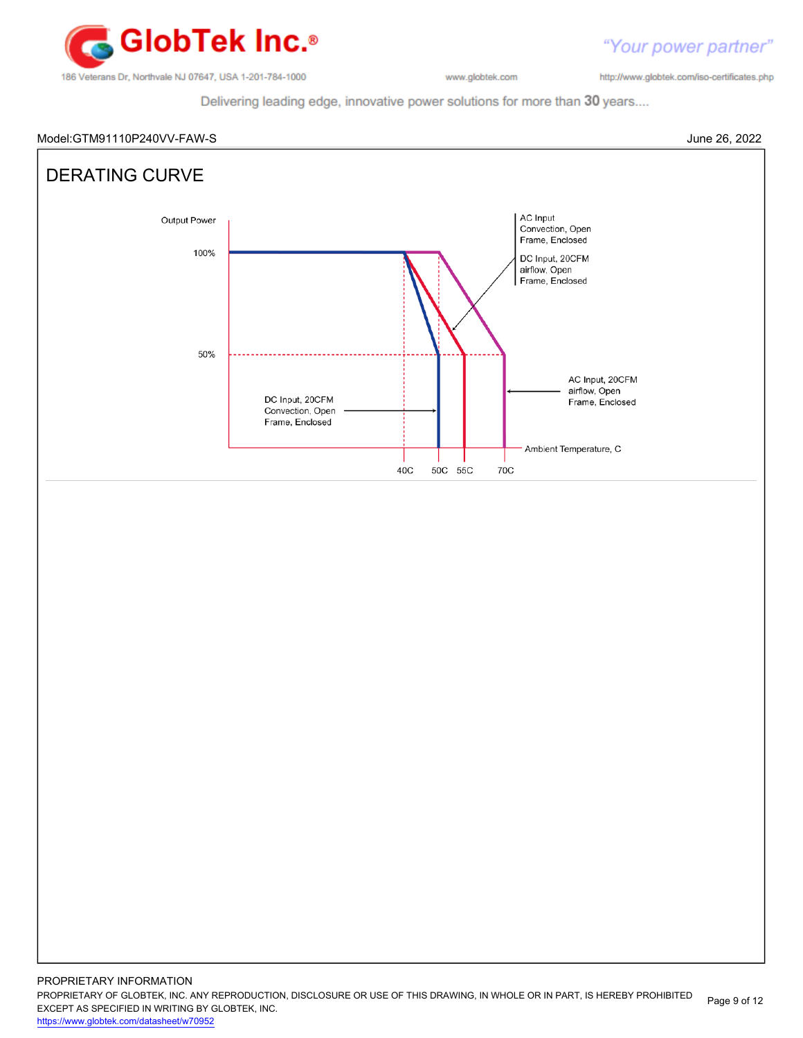

http://www.globtek.com/iso-certificates.php

"Your power partner"

Delivering leading edge, innovative power solutions for more than 30 years....



PROPRIETARY OF GLOBTEK, INC. ANY REPRODUCTION, DISCLOSURE OR USE OF THIS DRAWING, IN WHOLE OR IN PART, IS HEREBY PROHIBITED EXCEPT AS SPECIFIED IN WRITING BY GLOBTEK, INC. Page 9 of 12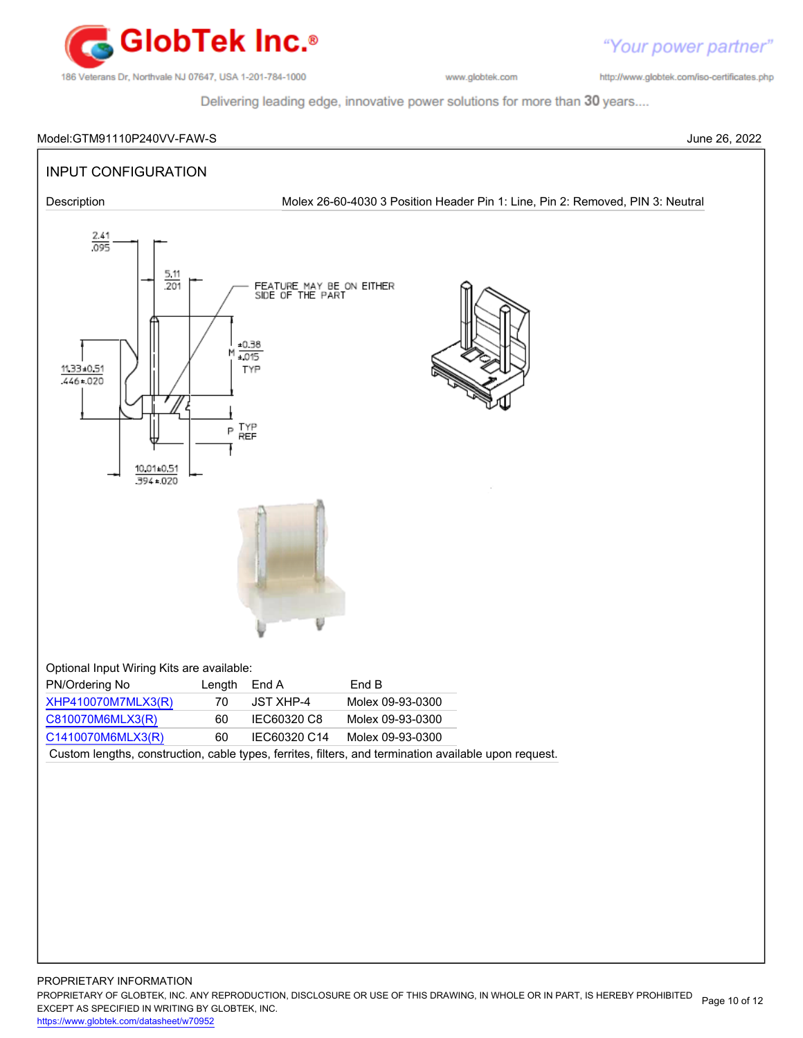

"Your power partner" http://www.globtek.com/iso-certificates.php

Delivering leading edge, innovative power solutions for more than 30 years....

Model:GTM91110P240VV-FAW-S June 26, 2022

# INPUT CONFIGURATION Description Molex 26-60-4030 3 Position Header Pin 1: Line, Pin 2: Removed, PIN 3: Neutral  $\frac{2.41}{.095}$  $\frac{5.11}{201}$ FEATURE MAY BE ON EITHER<br>SIDE OF THE PART  $±0.38$  $+015$ 11.33 - 0.51 TYP  $446 - 020$ TYP<br>REF P 10.01±0.51  $394 - 020$ Optional Input Wiring Kits are available: PN/Ordering No Length End A End B [XHP410070M7MLX3\(R\)](http://globtek.force.com/spec?id=01t0c000008pplQ) 70 JST XHP-4 Molex 09-93-0300 [C810070M6MLX3\(R\)](http://globtek.force.com/spec?id=01t0c000008qeGv) 60 IEC60320 C8 Molex 09-93-0300 [C1410070M6MLX3\(R\)](http://globtek.force.com/spec?id=01t0c000008qi6w) 60 IEC60320 C14 Molex 09-93-0300 Custom lengths, construction, cable types, ferrites, filters, and termination available upon request.

PROPRIETARY INFORMATION PROPRIETARY OF GLOBTEK, INC. ANY REPRODUCTION, DISCLOSURE OR USE OF THIS DRAWING, IN WHOLE OR IN PART, IS HEREBY PROHIBITED Page 10 of 12<br>EXALER 10 OREGIEIER WILKENIG BY OLOREEK WO EXCEPT AS SPECIFIED IN WRITING BY GLOBTEK, INC.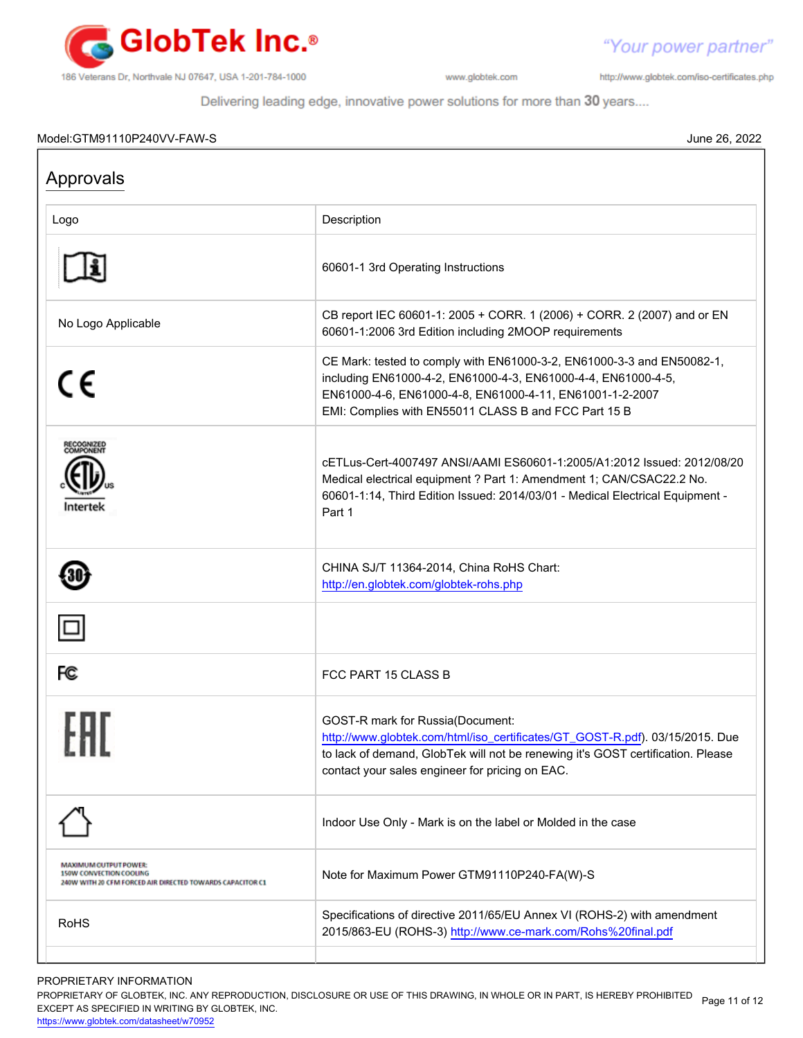

http://www.globtek.com/iso-certificates.php

"Your power partner"

Delivering leading edge, innovative power solutions for more than 30 years....

### Model:GTM91110P240VV-FAW-S June 26, 2022

| Approvals                                                                                                            |                                                                                                                                                                                                                                                               |
|----------------------------------------------------------------------------------------------------------------------|---------------------------------------------------------------------------------------------------------------------------------------------------------------------------------------------------------------------------------------------------------------|
| Logo                                                                                                                 | Description                                                                                                                                                                                                                                                   |
|                                                                                                                      | 60601-1 3rd Operating Instructions                                                                                                                                                                                                                            |
| No Logo Applicable                                                                                                   | CB report IEC 60601-1: 2005 + CORR. 1 (2006) + CORR. 2 (2007) and or EN<br>60601-1:2006 3rd Edition including 2MOOP requirements                                                                                                                              |
| CE                                                                                                                   | CE Mark: tested to comply with EN61000-3-2, EN61000-3-3 and EN50082-1,<br>including EN61000-4-2, EN61000-4-3, EN61000-4-4, EN61000-4-5,<br>EN61000-4-6, EN61000-4-8, EN61000-4-11, EN61001-1-2-2007<br>EMI: Complies with EN55011 CLASS B and FCC Part 15 B   |
| IECOGNIZED<br>COMPONENT                                                                                              | cETLus-Cert-4007497 ANSI/AAMI ES60601-1:2005/A1:2012 Issued: 2012/08/20<br>Medical electrical equipment ? Part 1: Amendment 1; CAN/CSAC22.2 No.<br>60601-1:14, Third Edition Issued: 2014/03/01 - Medical Electrical Equipment -<br>Part 1                    |
|                                                                                                                      | CHINA SJ/T 11364-2014, China RoHS Chart:<br>http://en.globtek.com/globtek-rohs.php                                                                                                                                                                            |
|                                                                                                                      |                                                                                                                                                                                                                                                               |
| FC                                                                                                                   | FCC PART 15 CLASS B                                                                                                                                                                                                                                           |
| .                                                                                                                    | <b>GOST-R mark for Russia(Document:</b><br>http://www.globtek.com/html/iso_certificates/GT_GOST-R.pdf). 03/15/2015. Due<br>to lack of demand, GlobTek will not be renewing it's GOST certification. Please<br>contact your sales engineer for pricing on EAC. |
|                                                                                                                      | Indoor Use Only - Mark is on the label or Molded in the case                                                                                                                                                                                                  |
| <b>MAXIMUM CUTPUT POWER:</b><br>150W CONVECTION COOLING<br>240W WITH 20 CFM FORCED AIR DIRECTED TOWARDS CAPACITOR C1 | Note for Maximum Power GTM91110P240-FA(W)-S                                                                                                                                                                                                                   |
| <b>RoHS</b>                                                                                                          | Specifications of directive 2011/65/EU Annex VI (ROHS-2) with amendment<br>2015/863-EU (ROHS-3) http://www.ce-mark.com/Rohs%20final.pdf                                                                                                                       |
|                                                                                                                      |                                                                                                                                                                                                                                                               |

# PROPRIETARY INFORMATION

PROPRIETARY OF GLOBTEK, INC. ANY REPRODUCTION, DISCLOSURE OR USE OF THIS DRAWING, IN WHOLE OR IN PART, IS HEREBY PROHIBITED Page 11 of 12<br>EXALER 10 OREGIEIER WILKENIG BY OLOREEK WO EXCEPT AS SPECIFIED IN WRITING BY GLOBTEK, INC.

<https://www.globtek.com/datasheet/w70952>